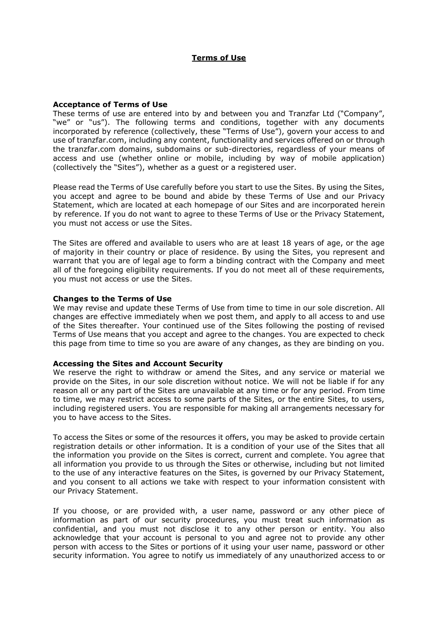## **Terms of Use**

#### **Acceptance of Terms of Use**

These terms of use are entered into by and between you and Tranzfar Ltd ("Company", "we" or "us"). The following terms and conditions, together with any documents incorporated by reference (collectively, these "Terms of Use"), govern your access to and use of tranzfar.com, including any content, functionality and services offered on or through the tranzfar.com domains, subdomains or sub-directories, regardless of your means of access and use (whether online or mobile, including by way of mobile application) (collectively the "Sites"), whether as a guest or a registered user.

Please read the Terms of Use carefully before you start to use the Sites. By using the Sites, you accept and agree to be bound and abide by these Terms of Use and our Privacy Statement, which are located at each homepage of our Sites and are incorporated herein by reference. If you do not want to agree to these Terms of Use or the Privacy Statement, you must not access or use the Sites.

The Sites are offered and available to users who are at least 18 years of age, or the age of majority in their country or place of residence. By using the Sites, you represent and warrant that you are of legal age to form a binding contract with the Company and meet all of the foregoing eligibility requirements. If you do not meet all of these requirements, you must not access or use the Sites.

#### **Changes to the Terms of Use**

We may revise and update these Terms of Use from time to time in our sole discretion. All changes are effective immediately when we post them, and apply to all access to and use of the Sites thereafter. Your continued use of the Sites following the posting of revised Terms of Use means that you accept and agree to the changes. You are expected to check this page from time to time so you are aware of any changes, as they are binding on you.

### **Accessing the Sites and Account Security**

We reserve the right to withdraw or amend the Sites, and any service or material we provide on the Sites, in our sole discretion without notice. We will not be liable if for any reason all or any part of the Sites are unavailable at any time or for any period. From time to time, we may restrict access to some parts of the Sites, or the entire Sites, to users, including registered users. You are responsible for making all arrangements necessary for you to have access to the Sites.

To access the Sites or some of the resources it offers, you may be asked to provide certain registration details or other information. It is a condition of your use of the Sites that all the information you provide on the Sites is correct, current and complete. You agree that all information you provide to us through the Sites or otherwise, including but not limited to the use of any interactive features on the Sites, is governed by our Privacy Statement, and you consent to all actions we take with respect to your information consistent with our Privacy Statement.

If you choose, or are provided with, a user name, password or any other piece of information as part of our security procedures, you must treat such information as confidential, and you must not disclose it to any other person or entity. You also acknowledge that your account is personal to you and agree not to provide any other person with access to the Sites or portions of it using your user name, password or other security information. You agree to notify us immediately of any unauthorized access to or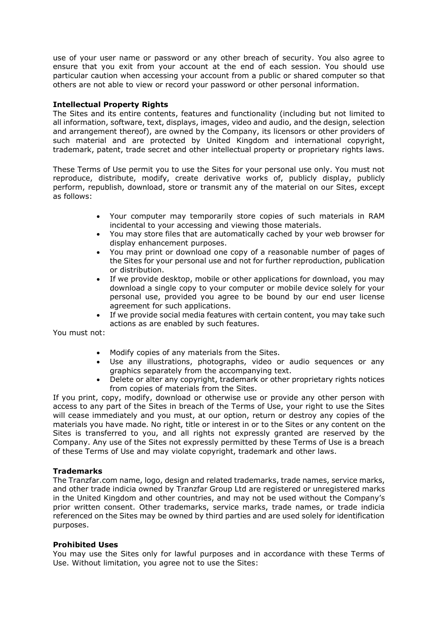use of your user name or password or any other breach of security. You also agree to ensure that you exit from your account at the end of each session. You should use particular caution when accessing your account from a public or shared computer so that others are not able to view or record your password or other personal information.

## **Intellectual Property Rights**

The Sites and its entire contents, features and functionality (including but not limited to all information, software, text, displays, images, video and audio, and the design, selection and arrangement thereof), are owned by the Company, its licensors or other providers of such material and are protected by United Kingdom and international copyright, trademark, patent, trade secret and other intellectual property or proprietary rights laws.

These Terms of Use permit you to use the Sites for your personal use only. You must not reproduce, distribute, modify, create derivative works of, publicly display, publicly perform, republish, download, store or transmit any of the material on our Sites, except as follows:

- Your computer may temporarily store copies of such materials in RAM incidental to your accessing and viewing those materials.
- You may store files that are automatically cached by your web browser for display enhancement purposes.
- You may print or download one copy of a reasonable number of pages of the Sites for your personal use and not for further reproduction, publication or distribution.
- If we provide desktop, mobile or other applications for download, you may download a single copy to your computer or mobile device solely for your personal use, provided you agree to be bound by our end user license agreement for such applications.
- If we provide social media features with certain content, you may take such actions as are enabled by such features.

You must not:

- Modify copies of any materials from the Sites.
- Use any illustrations, photographs, video or audio sequences or any graphics separately from the accompanying text.
- Delete or alter any copyright, trademark or other proprietary rights notices from copies of materials from the Sites.

If you print, copy, modify, download or otherwise use or provide any other person with access to any part of the Sites in breach of the Terms of Use, your right to use the Sites will cease immediately and you must, at our option, return or destroy any copies of the materials you have made. No right, title or interest in or to the Sites or any content on the Sites is transferred to you, and all rights not expressly granted are reserved by the Company. Any use of the Sites not expressly permitted by these Terms of Use is a breach of these Terms of Use and may violate copyright, trademark and other laws.

# **Trademarks**

The Tranzfar.com name, logo, design and related trademarks, trade names, service marks, and other trade indicia owned by Tranzfar Group Ltd are registered or unregistered marks in the United Kingdom and other countries, and may not be used without the Company's prior written consent. Other trademarks, service marks, trade names, or trade indicia referenced on the Sites may be owned by third parties and are used solely for identification purposes.

### **Prohibited Uses**

You may use the Sites only for lawful purposes and in accordance with these Terms of Use. Without limitation, you agree not to use the Sites: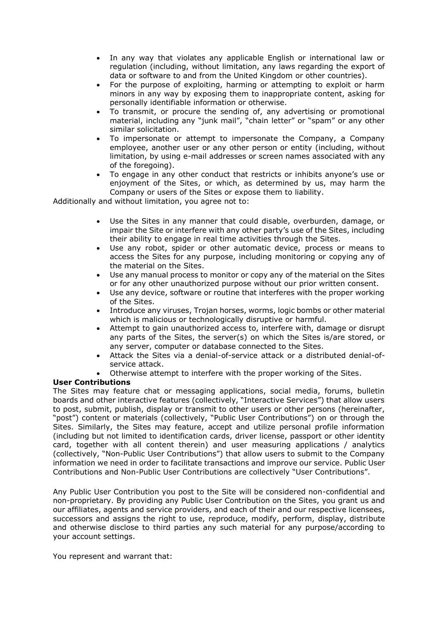- In any way that violates any applicable English or international law or regulation (including, without limitation, any laws regarding the export of data or software to and from the United Kingdom or other countries).
- For the purpose of exploiting, harming or attempting to exploit or harm minors in any way by exposing them to inappropriate content, asking for personally identifiable information or otherwise.
- To transmit, or procure the sending of, any advertising or promotional material, including any "junk mail", "chain letter" or "spam" or any other similar solicitation.
- To impersonate or attempt to impersonate the Company, a Company employee, another user or any other person or entity (including, without limitation, by using e-mail addresses or screen names associated with any of the foregoing).
- To engage in any other conduct that restricts or inhibits anyone's use or enjoyment of the Sites, or which, as determined by us, may harm the Company or users of the Sites or expose them to liability.

Additionally and without limitation, you agree not to:

- Use the Sites in any manner that could disable, overburden, damage, or impair the Site or interfere with any other party's use of the Sites, including their ability to engage in real time activities through the Sites.
- Use any robot, spider or other automatic device, process or means to access the Sites for any purpose, including monitoring or copying any of the material on the Sites.
- Use any manual process to monitor or copy any of the material on the Sites or for any other unauthorized purpose without our prior written consent.
- Use any device, software or routine that interferes with the proper working of the Sites.
- Introduce any viruses, Trojan horses, worms, logic bombs or other material which is malicious or technologically disruptive or harmful.
- Attempt to gain unauthorized access to, interfere with, damage or disrupt any parts of the Sites, the server(s) on which the Sites is/are stored, or any server, computer or database connected to the Sites.
- Attack the Sites via a denial-of-service attack or a distributed denial-ofservice attack.
- Otherwise attempt to interfere with the proper working of the Sites.

### **User Contributions**

The Sites may feature chat or messaging applications, social media, forums, bulletin boards and other interactive features (collectively, "Interactive Services") that allow users to post, submit, publish, display or transmit to other users or other persons (hereinafter, "post") content or materials (collectively, "Public User Contributions") on or through the Sites. Similarly, the Sites may feature, accept and utilize personal profile information (including but not limited to identification cards, driver license, passport or other identity card, together with all content therein) and user measuring applications / analytics (collectively, "Non-Public User Contributions") that allow users to submit to the Company information we need in order to facilitate transactions and improve our service. Public User Contributions and Non-Public User Contributions are collectively "User Contributions".

Any Public User Contribution you post to the Site will be considered non-confidential and non-proprietary. By providing any Public User Contribution on the Sites, you grant us and our affiliates, agents and service providers, and each of their and our respective licensees, successors and assigns the right to use, reproduce, modify, perform, display, distribute and otherwise disclose to third parties any such material for any purpose/according to your account settings.

You represent and warrant that: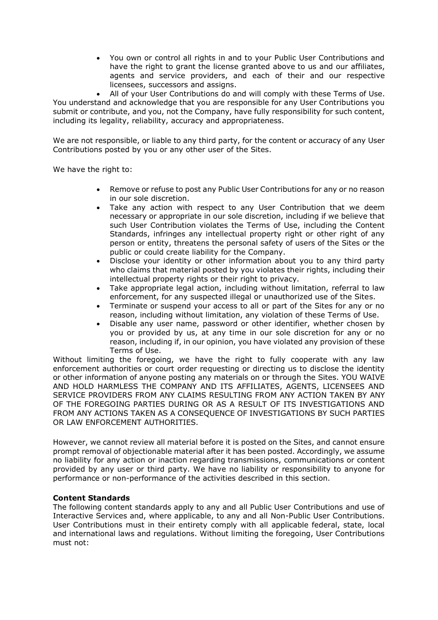• You own or control all rights in and to your Public User Contributions and have the right to grant the license granted above to us and our affiliates, agents and service providers, and each of their and our respective licensees, successors and assigns.

• All of your User Contributions do and will comply with these Terms of Use. You understand and acknowledge that you are responsible for any User Contributions you submit or contribute, and you, not the Company, have fully responsibility for such content, including its legality, reliability, accuracy and appropriateness.

We are not responsible, or liable to any third party, for the content or accuracy of any User Contributions posted by you or any other user of the Sites.

We have the right to:

- Remove or refuse to post any Public User Contributions for any or no reason in our sole discretion.
- Take any action with respect to any User Contribution that we deem necessary or appropriate in our sole discretion, including if we believe that such User Contribution violates the Terms of Use, including the Content Standards, infringes any intellectual property right or other right of any person or entity, threatens the personal safety of users of the Sites or the public or could create liability for the Company.
- Disclose your identity or other information about you to any third party who claims that material posted by you violates their rights, including their intellectual property rights or their right to privacy.
- Take appropriate legal action, including without limitation, referral to law enforcement, for any suspected illegal or unauthorized use of the Sites.
- Terminate or suspend your access to all or part of the Sites for any or no reason, including without limitation, any violation of these Terms of Use.
- Disable any user name, password or other identifier, whether chosen by you or provided by us, at any time in our sole discretion for any or no reason, including if, in our opinion, you have violated any provision of these Terms of Use.

Without limiting the foregoing, we have the right to fully cooperate with any law enforcement authorities or court order requesting or directing us to disclose the identity or other information of anyone posting any materials on or through the Sites. YOU WAIVE AND HOLD HARMLESS THE COMPANY AND ITS AFFILIATES, AGENTS, LICENSEES AND SERVICE PROVIDERS FROM ANY CLAIMS RESULTING FROM ANY ACTION TAKEN BY ANY OF THE FOREGOING PARTIES DURING OR AS A RESULT OF ITS INVESTIGATIONS AND FROM ANY ACTIONS TAKEN AS A CONSEQUENCE OF INVESTIGATIONS BY SUCH PARTIES OR LAW ENFORCEMENT AUTHORITIES.

However, we cannot review all material before it is posted on the Sites, and cannot ensure prompt removal of objectionable material after it has been posted. Accordingly, we assume no liability for any action or inaction regarding transmissions, communications or content provided by any user or third party. We have no liability or responsibility to anyone for performance or non-performance of the activities described in this section.

### **Content Standards**

The following content standards apply to any and all Public User Contributions and use of Interactive Services and, where applicable, to any and all Non-Public User Contributions. User Contributions must in their entirety comply with all applicable federal, state, local and international laws and regulations. Without limiting the foregoing, User Contributions must not: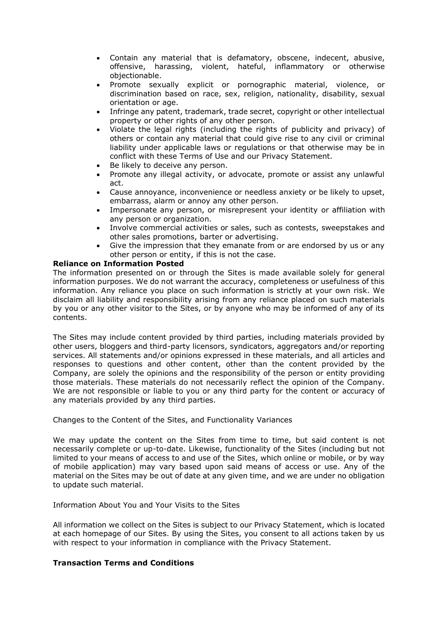- Contain any material that is defamatory, obscene, indecent, abusive, offensive, harassing, violent, hateful, inflammatory or otherwise objectionable.
- Promote sexually explicit or pornographic material, violence, or discrimination based on race, sex, religion, nationality, disability, sexual orientation or age.
- Infringe any patent, trademark, trade secret, copyright or other intellectual property or other rights of any other person.
- Violate the legal rights (including the rights of publicity and privacy) of others or contain any material that could give rise to any civil or criminal liability under applicable laws or regulations or that otherwise may be in conflict with these Terms of Use and our Privacy Statement.
- Be likely to deceive any person.
- Promote any illegal activity, or advocate, promote or assist any unlawful act.
- Cause annoyance, inconvenience or needless anxiety or be likely to upset, embarrass, alarm or annoy any other person.
- Impersonate any person, or misrepresent your identity or affiliation with any person or organization.
- Involve commercial activities or sales, such as contests, sweepstakes and other sales promotions, barter or advertising.
- Give the impression that they emanate from or are endorsed by us or any other person or entity, if this is not the case.

### **Reliance on Information Posted**

The information presented on or through the Sites is made available solely for general information purposes. We do not warrant the accuracy, completeness or usefulness of this information. Any reliance you place on such information is strictly at your own risk. We disclaim all liability and responsibility arising from any reliance placed on such materials by you or any other visitor to the Sites, or by anyone who may be informed of any of its contents.

The Sites may include content provided by third parties, including materials provided by other users, bloggers and third-party licensors, syndicators, aggregators and/or reporting services. All statements and/or opinions expressed in these materials, and all articles and responses to questions and other content, other than the content provided by the Company, are solely the opinions and the responsibility of the person or entity providing those materials. These materials do not necessarily reflect the opinion of the Company. We are not responsible or liable to you or any third party for the content or accuracy of any materials provided by any third parties.

Changes to the Content of the Sites, and Functionality Variances

We may update the content on the Sites from time to time, but said content is not necessarily complete or up-to-date. Likewise, functionality of the Sites (including but not limited to your means of access to and use of the Sites, which online or mobile, or by way of mobile application) may vary based upon said means of access or use. Any of the material on the Sites may be out of date at any given time, and we are under no obligation to update such material.

Information About You and Your Visits to the Sites

All information we collect on the Sites is subject to our Privacy Statement, which is located at each homepage of our Sites. By using the Sites, you consent to all actions taken by us with respect to your information in compliance with the Privacy Statement.

# **Transaction Terms and Conditions**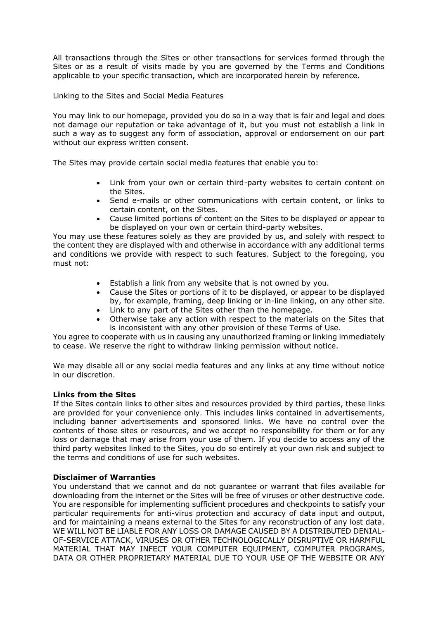All transactions through the Sites or other transactions for services formed through the Sites or as a result of visits made by you are governed by the Terms and Conditions applicable to your specific transaction, which are incorporated herein by reference.

Linking to the Sites and Social Media Features

You may link to our homepage, provided you do so in a way that is fair and legal and does not damage our reputation or take advantage of it, but you must not establish a link in such a way as to suggest any form of association, approval or endorsement on our part without our express written consent.

The Sites may provide certain social media features that enable you to:

- Link from your own or certain third-party websites to certain content on the Sites.
- Send e-mails or other communications with certain content, or links to certain content, on the Sites.
- Cause limited portions of content on the Sites to be displayed or appear to be displayed on your own or certain third-party websites.

You may use these features solely as they are provided by us, and solely with respect to the content they are displayed with and otherwise in accordance with any additional terms and conditions we provide with respect to such features. Subject to the foregoing, you must not:

- Establish a link from any website that is not owned by you.
- Cause the Sites or portions of it to be displayed, or appear to be displayed by, for example, framing, deep linking or in-line linking, on any other site.
- Link to any part of the Sites other than the homepage.
- Otherwise take any action with respect to the materials on the Sites that is inconsistent with any other provision of these Terms of Use.

You agree to cooperate with us in causing any unauthorized framing or linking immediately to cease. We reserve the right to withdraw linking permission without notice.

We may disable all or any social media features and any links at any time without notice in our discretion.

### **Links from the Sites**

If the Sites contain links to other sites and resources provided by third parties, these links are provided for your convenience only. This includes links contained in advertisements, including banner advertisements and sponsored links. We have no control over the contents of those sites or resources, and we accept no responsibility for them or for any loss or damage that may arise from your use of them. If you decide to access any of the third party websites linked to the Sites, you do so entirely at your own risk and subject to the terms and conditions of use for such websites.

### **Disclaimer of Warranties**

You understand that we cannot and do not guarantee or warrant that files available for downloading from the internet or the Sites will be free of viruses or other destructive code. You are responsible for implementing sufficient procedures and checkpoints to satisfy your particular requirements for anti-virus protection and accuracy of data input and output, and for maintaining a means external to the Sites for any reconstruction of any lost data. WE WILL NOT BE LIABLE FOR ANY LOSS OR DAMAGE CAUSED BY A DISTRIBUTED DENIAL-OF-SERVICE ATTACK, VIRUSES OR OTHER TECHNOLOGICALLY DISRUPTIVE OR HARMFUL MATERIAL THAT MAY INFECT YOUR COMPUTER EQUIPMENT, COMPUTER PROGRAMS, DATA OR OTHER PROPRIETARY MATERIAL DUE TO YOUR USE OF THE WEBSITE OR ANY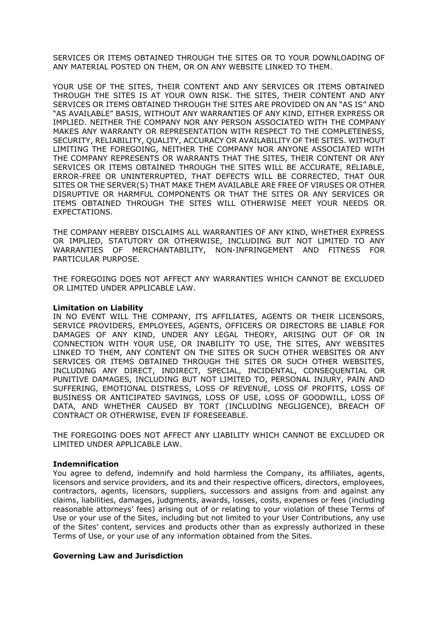SERVICES OR ITEMS OBTAINED THROUGH THE SITES OR TO YOUR DOWNLOADING OF ANY MATERIAL POSTED ON THEM, OR ON ANY WEBSITE LINKED TO THEM.

YOUR USE OF THE SITES, THEIR CONTENT AND ANY SERVICES OR ITEMS OBTAINED THROUGH THE SITES IS AT YOUR OWN RISK. THE SITES, THEIR CONTENT AND ANY SERVICES OR ITEMS OBTAINED THROUGH THE SITES ARE PROVIDED ON AN "AS IS" AND "AS AVAILABLE" BASIS, WITHOUT ANY WARRANTIES OF ANY KIND, EITHER EXPRESS OR IMPLIED. NEITHER THE COMPANY NOR ANY PERSON ASSOCIATED WITH THE COMPANY MAKES ANY WARRANTY OR REPRESENTATION WITH RESPECT TO THE COMPLETENESS, SECURITY, RELIABILITY, QUALITY, ACCURACY OR AVAILABILITY OF THE SITES. WITHOUT LIMITING THE FOREGOING, NEITHER THE COMPANY NOR ANYONE ASSOCIATED WITH THE COMPANY REPRESENTS OR WARRANTS THAT THE SITES, THEIR CONTENT OR ANY SERVICES OR ITEMS OBTAINED THROUGH THE SITES WILL BE ACCURATE, RELIABLE, ERROR-FREE OR UNINTERRUPTED, THAT DEFECTS WILL BE CORRECTED, THAT OUR SITES OR THE SERVER(S) THAT MAKE THEM AVAILABLE ARE FREE OF VIRUSES OR OTHER DISRUPTIVE OR HARMFUL COMPONENTS OR THAT THE SITES OR ANY SERVICES OR ITEMS OBTAINED THROUGH THE SITES WILL OTHERWISE MEET YOUR NEEDS OR EXPECTATIONS.

THE COMPANY HEREBY DISCLAIMS ALL WARRANTIES OF ANY KIND, WHETHER EXPRESS OR IMPLIED, STATUTORY OR OTHERWISE, INCLUDING BUT NOT LIMITED TO ANY WARRANTIES OF MERCHANTABILITY, NON-INFRINGEMENT AND FITNESS FOR PARTICULAR PURPOSE.

THE FOREGOING DOES NOT AFFECT ANY WARRANTIES WHICH CANNOT BE EXCLUDED OR LIMITED UNDER APPLICABLE LAW.

#### **Limitation on Liability**

IN NO EVENT WILL THE COMPANY, ITS AFFILIATES, AGENTS OR THEIR LICENSORS, SERVICE PROVIDERS, EMPLOYEES, AGENTS, OFFICERS OR DIRECTORS BE LIABLE FOR DAMAGES OF ANY KIND, UNDER ANY LEGAL THEORY, ARISING OUT OF OR IN CONNECTION WITH YOUR USE, OR INABILITY TO USE, THE SITES, ANY WEBSITES LINKED TO THEM, ANY CONTENT ON THE SITES OR SUCH OTHER WEBSITES OR ANY SERVICES OR ITEMS OBTAINED THROUGH THE SITES OR SUCH OTHER WEBSITES, INCLUDING ANY DIRECT, INDIRECT, SPECIAL, INCIDENTAL, CONSEQUENTIAL OR PUNITIVE DAMAGES, INCLUDING BUT NOT LIMITED TO, PERSONAL INJURY, PAIN AND SUFFERING, EMOTIONAL DISTRESS, LOSS OF REVENUE, LOSS OF PROFITS, LOSS OF BUSINESS OR ANTICIPATED SAVINGS, LOSS OF USE, LOSS OF GOODWILL, LOSS OF DATA, AND WHETHER CAUSED BY TORT (INCLUDING NEGLIGENCE), BREACH OF CONTRACT OR OTHERWISE, EVEN IF FORESEEABLE.

THE FOREGOING DOES NOT AFFECT ANY LIABILITY WHICH CANNOT BE EXCLUDED OR LIMITED UNDER APPLICABLE LAW.

#### **Indemnification**

You agree to defend, indemnify and hold harmless the Company, its affiliates, agents, licensors and service providers, and its and their respective officers, directors, employees, contractors, agents, licensors, suppliers, successors and assigns from and against any claims, liabilities, damages, judgments, awards, losses, costs, expenses or fees (including reasonable attorneys' fees) arising out of or relating to your violation of these Terms of Use or your use of the Sites, including but not limited to your User Contributions, any use of the Sites' content, services and products other than as expressly authorized in these Terms of Use, or your use of any information obtained from the Sites.

### **Governing Law and Jurisdiction**